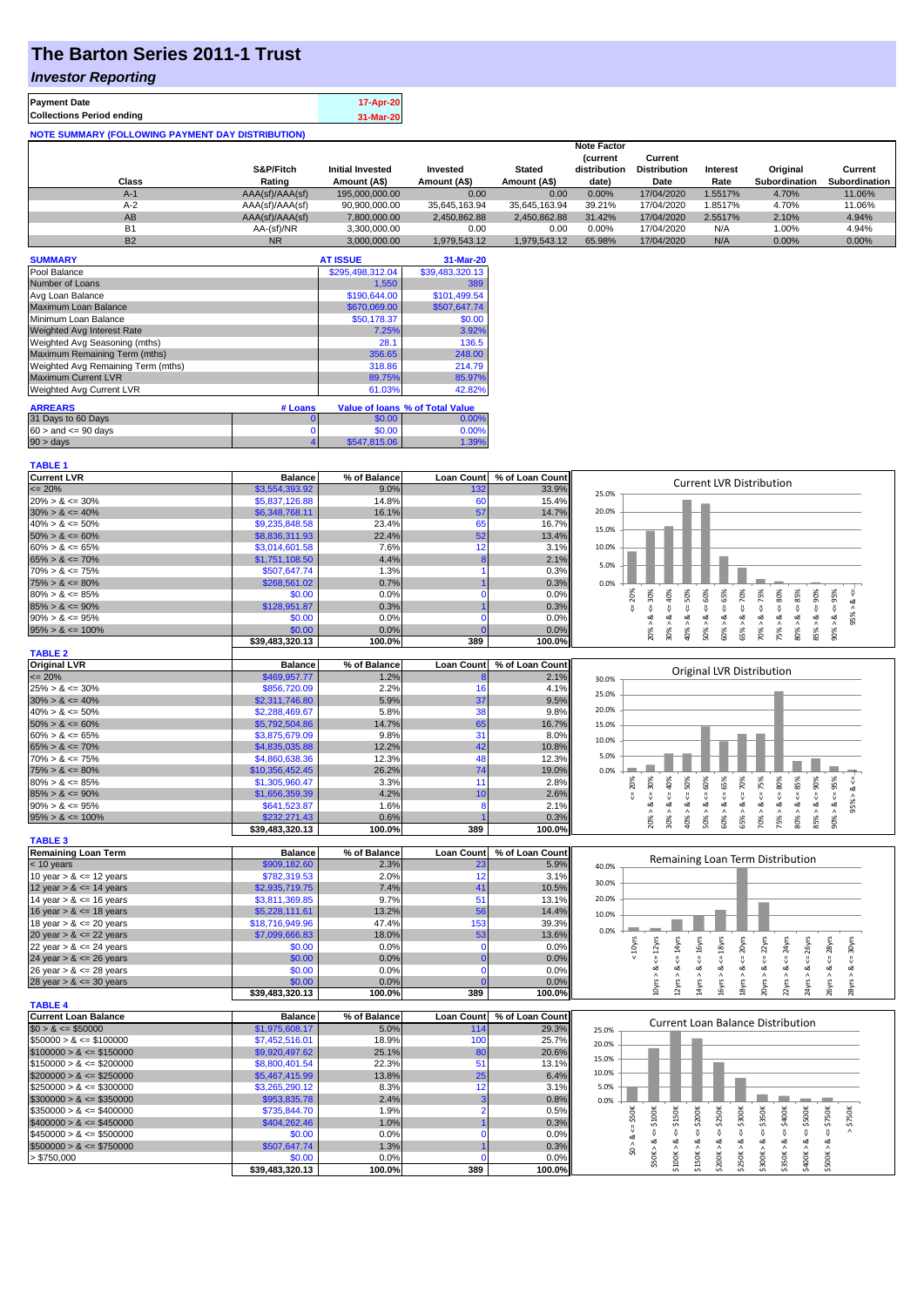## **The Barton Series 2011-1 Trust**

### *Investor Reporting*

| <b>Payment Date</b>                                      | 17-Apr-20 |
|----------------------------------------------------------|-----------|
| <b>Collections Period ending</b>                         | 31-Mar-20 |
| <b>NOTE SUMMARY (FOLLOWING PAYMENT DAY DISTRIBUTION)</b> |           |

|           |                 |                         |               |               | <b>Note Factor</b> |                     |                 |               |               |
|-----------|-----------------|-------------------------|---------------|---------------|--------------------|---------------------|-----------------|---------------|---------------|
|           |                 |                         |               |               | <b>Current</b>     | Current             |                 |               |               |
|           | S&P/Fitch       | <b>Initial Invested</b> | Invested      | <b>Stated</b> | distribution       | <b>Distribution</b> | <b>Interest</b> | Original      | Current       |
| Class     | Rating          | Amount (A\$)            | Amount (A\$)  | Amount (A\$)  | date)              | Date                | Rate            | Subordination | Subordination |
| $A-1$     | AAA(sf)/AAA(sf) | 195.000.000.00          | 0.00          | 0.00          | 0.00%              | 17/04/2020          | 1.5517%         | 4.70%         | 11.06%        |
| $A-2$     | AAA(sf)/AAA(sf) | 90,900,000.00           | 35.645.163.94 | 35.645.163.94 | 39.21%             | 17/04/2020          | 1.8517%         | 4.70%         | 11.06%        |
| AB        | AAA(sf)/AAA(sf) | 7,800,000.00            | 2,450,862.88  | 2.450.862.88  | 31.42%             | 17/04/2020          | 2.5517%         | 2.10%         | 4.94%         |
| <b>B1</b> | AA-(sf)/NR      | 3.300.000.00            | 0.00          | 0.00          | 0.00%              | 17/04/2020          | N/A             | 1.00%         | 4.94%         |
| <b>B2</b> | <b>NR</b>       | 3.000.000.00            | 1.979.543.12  | 1.979.543.12  | 65.98%             | 17/04/2020          | N/A             | 0.00%         | 0.00%         |

| <b>SUMMARY</b>                     |         | <b>AT ISSUE</b>  | 31-Mar-20                       |
|------------------------------------|---------|------------------|---------------------------------|
| Pool Balance                       |         | \$295,498,312.04 | \$39,483,320.13                 |
| Number of Loans                    |         | 1.550            | 389                             |
| Avg Loan Balance                   |         | \$190,644.00     | \$101,499.54                    |
| Maximum Loan Balance               |         | \$670,069.00     | \$507.647.74                    |
| Minimum Loan Balance               |         | \$50,178.37      | \$0.00                          |
| Weighted Avg Interest Rate         |         | 7.25%            | 3.92%                           |
| Weighted Avg Seasoning (mths)      |         | 28.1             | 136.5                           |
| Maximum Remaining Term (mths)      |         | 356.65           | 248.00                          |
| Weighted Avg Remaining Term (mths) |         | 318.86           | 214.79                          |
| <b>Maximum Current LVR</b>         |         | 89.75%           | 85.97%                          |
| Weighted Avg Current LVR           |         | 61.03%           | 42.82%                          |
| <b>ARREARS</b>                     | # Loans |                  | Value of Ioans % of Total Value |
| 31 Days to 60 Days                 | 0       | \$0.00           | 0.00%                           |
| $60 >$ and $\leq 90$ days          |         | \$0.00           | 0.00%                           |
| 90 > days                          |         | \$547,815.06     | 1.39%                           |

| <b>TABLE 1</b>              |                 |              |                   |                 |                                                                                                                                                                                    |
|-----------------------------|-----------------|--------------|-------------------|-----------------|------------------------------------------------------------------------------------------------------------------------------------------------------------------------------------|
| <b>Current LVR</b>          | <b>Balance</b>  | % of Balance | <b>Loan Count</b> | % of Loan Count |                                                                                                                                                                                    |
| $= 20%$                     | \$3,554,393.92  | 9.0%         | 132               | 33.9%           | <b>Current LVR Distribution</b><br>25.0%                                                                                                                                           |
| $20\% > 8 \le 30\%$         | \$5,837,126.88  | 14.8%        | 60                | 15.4%           |                                                                                                                                                                                    |
| $30\% > 8 \le 40\%$         | \$6,348,768.11  | 16.1%        | 57                | 14.7%           | 20.0%                                                                                                                                                                              |
| $40\% > 8 \le 50\%$         | \$9,235,848.58  | 23.4%        | 65                | 16.7%           |                                                                                                                                                                                    |
| $50\% > 8 \le 60\%$         | \$8,836,311.93  | 22.4%        | 52                | 13.4%           | 15.0%                                                                                                                                                                              |
| $60\% > 8 \le 65\%$         | \$3,014,601.58  | 7.6%         | 12                | 3.1%            | 10.0%                                                                                                                                                                              |
| $65\% > 8 \le 70\%$         | \$1,751,108.50  | 4.4%         |                   | 2.1%            |                                                                                                                                                                                    |
| $70\% > 8 \le 75\%$         | \$507,647.74    | 1.3%         |                   | 0.3%            | 5.0%                                                                                                                                                                               |
| $75\% > 8 \le 80\%$         | \$268,561.02    | 0.7%         |                   | 0.3%            | 0.0%                                                                                                                                                                               |
| $80\% > 8 \le 85\%$         | \$0.00          | 0.0%         | $\Omega$          | 0.0%            | v                                                                                                                                                                                  |
| $85\% > 8 \le 90\%$         | \$128,951.87    | 0.3%         |                   | 0.3%            | $4 = 70\%$<br>$4 = 20\%$<br>$4 = 30\%$<br>$4 - 40\%$<br>$\leq 50\%$<br>$\le 60\%$<br>$4 = 75%$<br>$4 = 80\%$<br>$<< = 85%$<br>$\epsilon = 90\%$<br>$\leq 95\%$<br>ಷ                |
| $90\% > 8 \le 95\%$         | \$0.00          | 0.0%         |                   | 0.0%            | 95% > 8<br>ಷ<br>œ<br>ಹ<br>య<br>ಷ<br>ø                                                                                                                                              |
| $95\% > 8 \le 100\%$        | \$0.00          | 0.0%         |                   | 0.0%            | $60\% > 8 \le 65\%$<br>85% > 8                                                                                                                                                     |
|                             | \$39,483,320.13 | 100.0%       | 389               | 100.0%          | $50\% > 8$ .<br>$80\% > 8$ .<br>$90\% > 8.$<br>$70\%$ $>$<br>20% ><br>30% ><br>40% ><br>65% ><br>75% >                                                                             |
| <b>TABLE 2</b>              |                 |              |                   |                 |                                                                                                                                                                                    |
| <b>Original LVR</b>         | <b>Balance</b>  | % of Balance | <b>Loan Count</b> | % of Loan Count |                                                                                                                                                                                    |
| $\leq$ 20%                  | \$469,957.77    | 1.2%         |                   | 2.1%            | <b>Original LVR Distribution</b><br>30.0%                                                                                                                                          |
| $25\% > 8 \le 30\%$         | \$856,720.09    | 2.2%         | 16                | 4.1%            |                                                                                                                                                                                    |
| $30\% > 8 \le 40\%$         | \$2,311,746.80  | 5.9%         | 37                | 9.5%            | 25.0%                                                                                                                                                                              |
| $40\% > 8 \le 50\%$         | \$2,288,469.67  | 5.8%         | 38                | 9.8%            | 20.0%                                                                                                                                                                              |
| $50\% > 8 \le 60\%$         | \$5,792,504.86  | 14.7%        | 65                | 16.7%           |                                                                                                                                                                                    |
| $60\% > 8 \le 65\%$         | \$3,875,679.09  | 9.8%         | 31                | 8.0%            | 15.0%                                                                                                                                                                              |
| $65\% > 8 \le 70\%$         |                 | 12.2%        | 42                | 10.8%           | 10.0%                                                                                                                                                                              |
|                             | \$4,835,035.88  | 12.3%        | 48                | 12.3%           | 5.0%                                                                                                                                                                               |
| $70\% > 8 \le 75\%$         | \$4,860,638.36  |              |                   |                 |                                                                                                                                                                                    |
| $75\% > 8 \le 80\%$         | \$10,356,452.45 | 26.2%        | 74                | 19.0%           | 0.0%                                                                                                                                                                               |
| $80\% > 8 \le 85\%$         | \$1,305,960.47  | 3.3%         | 11                | 2.8%            | 40%<br>50%<br>$<=65%$<br>$<=70%$<br>80%<br>$<=85\%$<br>$8 - 90%$<br>$<=95\%$<br>30%<br>20%<br>95% > 8 <                                                                            |
| $85\% > 8 \le 90\%$         | \$1,656,359.39  | 4.2%         | 10                | 2.6%            | ₹<br>8 < 1<br>₩<br>V                                                                                                                                                               |
| $90\% > 8 \le 95\%$         | \$641,523.87    | 1.6%         | 8                 | 2.1%            | ತ<br>ઌ<br>ಷ                                                                                                                                                                        |
| $95\% > 8 \le 100\%$        | \$232,271.43    | 0.6%         |                   | 0.3%            | $50\% > 8 \le 60\%$<br>$70\% > 8 \leq T5\%$<br>90% ><br>20% ><br>$30\%$ $>$<br>60% ><br>65% ><br>75% ><br>$80\%$ $>$<br>$85\%$ ><br>$40\%$ $>$                                     |
| <b>TABLE 3</b>              | \$39,483,320.13 | 100.0%       | 389               | 100.0%          |                                                                                                                                                                                    |
|                             |                 |              |                   |                 |                                                                                                                                                                                    |
| <b>Remaining Loan Term</b>  | <b>Balance</b>  | % of Balance | <b>Loan Count</b> | % of Loan Count | Remaining Loan Term Distribution                                                                                                                                                   |
| $<$ 10 years                | \$909,182.60    | 2.3%         | 23                | 5.9%            | 40.0%                                                                                                                                                                              |
| 10 year $> 8 \le 12$ years  | \$782,319.53    | 2.0%         | 12                | 3.1%            | 30.0%                                                                                                                                                                              |
| 12 year $> 8 \le 14$ years  | \$2,935,719.75  | 7.4%         | 41                | 10.5%           |                                                                                                                                                                                    |
| 14 year $> 8 \le 16$ years  | \$3,811,369.85  | 9.7%         | 51                | 13.1%           | 20.0%                                                                                                                                                                              |
| 16 year $> 8 \le 18$ years  | \$5,228,111.61  | 13.2%        | 56                | 14.4%           | 10.0%                                                                                                                                                                              |
| 18 year $> 8 \le 20$ years  | \$18,716,949.96 | 47.4%        | 153               | 39.3%           | 0.0%                                                                                                                                                                               |
| 20 year $> 8 \le 22$ years  | \$7,099,666.83  | 18.0%        | 53                | 13.6%           |                                                                                                                                                                                    |
| 22 year $> 8 \le 24$ years  | \$0.00          | 0.0%         | $\mathbf 0$       | 0.0%            | $\leq$ 20yrs<br>$\Leftarrow$ 22yrs<br>$\leq 14$ yrs<br>$\Leftarrow$ 16yrs<br>$\leq 18$ yrs<br>24yrs<br>$\leq$ 28yrs<br>$\Leftarrow$ 30yrs<br>$\Leftarrow$ 12yrs<br>26yrs<br><10yrs |
| 24 year $> 8 \le 26$ years  | \$0.00          | 0.0%         |                   | 0.0%            | $\overset{\text{\tiny{II}}}{\mathsf{\tiny{V}}}$<br>₩                                                                                                                               |
| 26 year $> 8 \le 28$ years  | \$0.00          | 0.0%         | n                 | 0.0%            | ಷ<br>ಷ<br>ಷ<br>ಷ<br>ಷ<br>ಷ<br>త<br>ಷ                                                                                                                                               |
| 28 year $> 8 \le 30$ years  | \$0.00          | 0.0%         |                   | 0.0%            | 20yrs > 8<br>24yrs > 8<br>10yrs > 8<br>14yrs > 8<br>18yrs > l<br>$22\gamma$ rs > $\ell$<br>26yrs > 8<br>$28\gamma$ rs > 8<br>2yrs ><br>L6yrs                                       |
|                             | \$39,483,320.13 | 100.0%       | 389               | 100.0%          |                                                                                                                                                                                    |
| <b>TABLE 4</b>              |                 |              |                   |                 |                                                                                                                                                                                    |
| <b>Current Loan Balance</b> | <b>Balance</b>  | % of Balance | <b>Loan Count</b> | % of Loan Count | Current Loan Balance Distribution                                                                                                                                                  |
| $$0 > 8 \leq $50000$        | \$1,975,608.17  | 5.0%         | 114               | 29.3%           | 25.0%                                                                                                                                                                              |
| $$50000 > 8 \le $100000$    | \$7,452,516.01  | 18.9%        | 100               | 25.7%           | 20.0%                                                                                                                                                                              |
| $$100000 > 8 \leq $150000$  | \$9,920,497.62  | 25.1%        | 80                | 20.6%           | 15.0%                                                                                                                                                                              |
| $$150000 > 8 \leq $200000$  | \$8,800,401.54  | 22.3%        | 51                | 13.1%           |                                                                                                                                                                                    |
| $$200000 > 8 \leq $250000$  | \$5,467,415.99  | 13.8%        | 25                | 6.4%            | 10.0%                                                                                                                                                                              |
| $$250000 > 8 \leq $300000$  | \$3,265,290.12  | 8.3%         | 12                | 3.1%            | 5.0%                                                                                                                                                                               |
| $$300000 > 8 \leq $350000$  | \$953,835.78    | 2.4%         |                   | 0.8%            | 0.0%                                                                                                                                                                               |
| $$350000 > 8 \leq $400000$  | \$735,844.70    | 1.9%         |                   | 0.5%            |                                                                                                                                                                                    |
| $$400000 > 8 \leq $450000$  | \$404,262.46    | 1.0%         |                   | 0.3%            | $\Leftarrow$ \$150K<br>$\leq$ \$250K<br>$4 = $300K$<br>$\leq$ \$350K<br>$4 = $400K$<br>$\Leftarrow$ \$750K<br>\$200K<br>$>$ \$750 $K$                                              |
| $$450000 > 8 \leq $500000$  | \$0.00          | 0.0%         | $\Omega$          | 0.0%            | $$0 > 8 <= $50$ K<br>$$50K > 8 \Leftarrow $100K$<br>$$400K > 8 <= $500K$<br>IJ,                                                                                                    |
| $$500000 > 8 \leq $750000$  | \$507,647.74    | 1.3%         |                   | 0.3%            | \$100K > 8<br>\$200K > 8<br>\$250K > 8<br>\$300K > 8<br>\$350K > 8<br>\$500K > 8<br>\$150K > 8                                                                                     |
| > \$750,000                 | \$0.00          | 0.0%         | $\Omega$          | 0.0%            |                                                                                                                                                                                    |
|                             | \$39,483,320.13 | 100.0%       | 389               | 100.0%          |                                                                                                                                                                                    |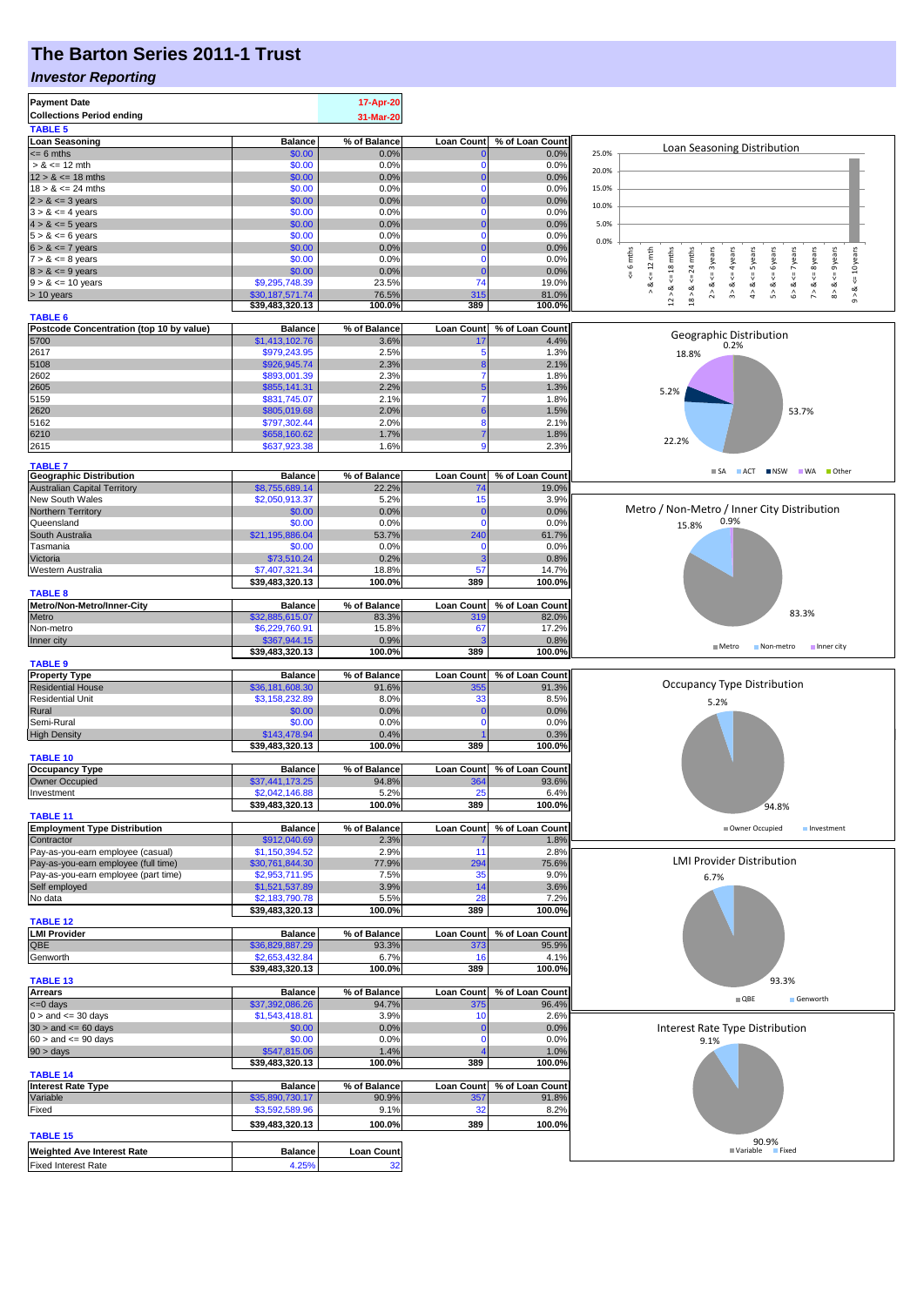# **The Barton Series 2011-1 Trust**

### *Investor Reporting*

|                                                                 |                                   | 17-Apr-20               |                   |                         |                                                                                                                                                                                                                                                 |
|-----------------------------------------------------------------|-----------------------------------|-------------------------|-------------------|-------------------------|-------------------------------------------------------------------------------------------------------------------------------------------------------------------------------------------------------------------------------------------------|
| <b>Collections Period ending</b>                                |                                   | 31-Mar-20               |                   |                         |                                                                                                                                                                                                                                                 |
| <b>TABLE 5</b>                                                  |                                   |                         |                   |                         |                                                                                                                                                                                                                                                 |
| <b>Loan Seasoning</b>                                           | <b>Balance</b>                    | % of Balance            | <b>Loan Count</b> | % of Loan Count         |                                                                                                                                                                                                                                                 |
| $= 6$ mths                                                      | \$0.00                            | 0.0%                    |                   | 0.0%                    | Loan Seasoning Distribution<br>25.0%                                                                                                                                                                                                            |
| $> 8 \le 12$ mth                                                | \$0.00                            | 0.0%                    |                   | 0.0%                    | 20.0%                                                                                                                                                                                                                                           |
| $12 > 8 \le 18$ mths                                            | \$0.00                            | 0.0%                    |                   | 0.0%                    |                                                                                                                                                                                                                                                 |
| $18 > 8 \le 24$ mths                                            | \$0.00                            | 0.0%                    | $\Omega$          | 0.0%                    | 15.0%                                                                                                                                                                                                                                           |
| $2 > 8 \le 3$ years                                             | \$0.00                            | 0.0%                    |                   | 0.0%                    | 10.0%                                                                                                                                                                                                                                           |
| $3 > 8 \le 4$ years                                             | \$0.00<br>\$0.00                  | 0.0%<br>0.0%            | $\Omega$          | 0.0%<br>0.0%            | 5.0%                                                                                                                                                                                                                                            |
| $4 > 8 \le 5$ years<br>$5 > 8 \le 6$ years                      | \$0.00                            | 0.0%                    | $\Omega$          | 0.0%                    |                                                                                                                                                                                                                                                 |
| $6 > 8 \le 7$ years                                             | \$0.00                            | 0.0%                    |                   | 0.0%                    | 0.0%                                                                                                                                                                                                                                            |
| $7 > 8 \le 8$ years                                             | \$0.00                            | 0.0%                    | $\Omega$          | 0.0%                    | i 6 mths<br>$\leq 12$ mth<br>$12 > 8$ <= 18 mths<br>24 mths<br>$8 > 8 \leq 9$ years<br>$\le$ = 10 years<br>$2 > 8 < 3$ years<br>$3 > 8$ <= 4 years<br>$4 > 8$ <= 5 years<br>$5 > 8$ <= 6 years<br>$6 > 8 < z < 7$ years<br>$7 > 8 \leq 8$ years |
| $8 > 8 \le 9$ years                                             | \$0.00                            | 0.0%                    |                   | 0.0%                    | IJ,                                                                                                                                                                                                                                             |
| $9 > 8 \le 10$ years                                            | \$9,295,748.39                    | 23.5%                   | 74                | 19.0%                   | $18 > 8 < =$                                                                                                                                                                                                                                    |
| > 10 years                                                      | \$30,187,571.74                   | 76.5%                   | 315               | 81.0%                   | ⊗<br>∧<br>ø<br>$^\wedge_\mathfrak{g}$                                                                                                                                                                                                           |
|                                                                 | \$39,483,320.13                   | 100.0%                  | 389               | 100.0%                  |                                                                                                                                                                                                                                                 |
| <b>TABLE 6</b>                                                  |                                   |                         |                   |                         |                                                                                                                                                                                                                                                 |
| Postcode Concentration (top 10 by value)                        | <b>Balance</b>                    | % of Balance            | <b>Loan Count</b> | % of Loan Count         | Geographic Distribution                                                                                                                                                                                                                         |
| 5700                                                            | \$1,413,102.76                    | 3.6%                    | 17                | 4.4%                    | 0.2%                                                                                                                                                                                                                                            |
| 2617<br>5108                                                    | \$979,243.95<br>\$926,945.74      | 2.5%<br>2.3%            | 5                 | 1.3%                    | 18.8%                                                                                                                                                                                                                                           |
| 2602                                                            | \$893,001.39                      | 2.3%                    | 7                 | 2.1%<br>1.8%            |                                                                                                                                                                                                                                                 |
| 2605                                                            | \$855,141.31                      | 2.2%                    |                   | 1.3%                    |                                                                                                                                                                                                                                                 |
| 5159                                                            | \$831,745.07                      | 2.1%                    |                   | 1.8%                    | 5.2%                                                                                                                                                                                                                                            |
| 2620                                                            | \$805,019.68                      | 2.0%                    |                   | 1.5%                    | 53.7%                                                                                                                                                                                                                                           |
| 5162                                                            | \$797,302.44                      | 2.0%                    | 8                 | 2.1%                    |                                                                                                                                                                                                                                                 |
| 6210                                                            | \$658,160.62                      | 1.7%                    |                   | 1.8%                    |                                                                                                                                                                                                                                                 |
| 2615                                                            | \$637,923,38                      | 1.6%                    | g                 | 2.3%                    | 22.2%                                                                                                                                                                                                                                           |
|                                                                 |                                   |                         |                   |                         |                                                                                                                                                                                                                                                 |
| <b>TABLE 7</b><br><b>Geographic Distribution</b>                | <b>Balance</b>                    | % of Balance            | <b>Loan Count</b> | % of Loan Count         | $\blacksquare$ SA<br>ACT NSW WA Other                                                                                                                                                                                                           |
| <b>Australian Capital Territory</b>                             | \$8,755,689.14                    | 22.2%                   | 74                | 19.0%                   |                                                                                                                                                                                                                                                 |
| New South Wales                                                 | \$2,050,913.37                    | 5.2%                    | 15                | 3.9%                    |                                                                                                                                                                                                                                                 |
| Northern Territory                                              | \$0.00                            | 0.0%                    | $\mathbf 0$       | 0.0%                    | Metro / Non-Metro / Inner City Distribution                                                                                                                                                                                                     |
| Queensland                                                      | \$0.00                            | 0.0%                    | $\Omega$          | 0.0%                    | 0.9%<br>15.8%                                                                                                                                                                                                                                   |
| South Australia                                                 | \$21,195,886.04                   | 53.7%                   | 240               | 61.7%                   |                                                                                                                                                                                                                                                 |
| Tasmania                                                        | \$0.00                            | 0.0%                    | 0                 | 0.0%                    |                                                                                                                                                                                                                                                 |
| Victoria                                                        | \$73,510.24                       | 0.2%                    |                   | 0.8%                    |                                                                                                                                                                                                                                                 |
| Western Australia                                               | \$7,407,321.34                    | 18.8%                   | 57                | 14.7%                   |                                                                                                                                                                                                                                                 |
|                                                                 | \$39,483,320.13                   | 100.0%                  | 389               | 100.0%                  |                                                                                                                                                                                                                                                 |
| <b>TABLE 8</b>                                                  |                                   |                         |                   |                         |                                                                                                                                                                                                                                                 |
| Metro/Non-Metro/Inner-City                                      | <b>Balance</b>                    | % of Balance            | Loan Count        | % of Loan Count         | 83.3%                                                                                                                                                                                                                                           |
| Metro                                                           | \$32,885,615.07                   | 83.3%                   | <b>319</b>        | 82.0%                   |                                                                                                                                                                                                                                                 |
| Non-metro                                                       | \$6,229,760.91                    | 15.8%                   | 67                | 17.2%                   |                                                                                                                                                                                                                                                 |
| Inner city                                                      | \$367,944.15<br>\$39,483,320.13   | 0.9%<br>100.0%          | 389               | 0.8%<br>100.0%          | $M$ Metro<br>Non-metro<br>Inner city                                                                                                                                                                                                            |
| <b>TABLE 9</b>                                                  |                                   |                         |                   |                         |                                                                                                                                                                                                                                                 |
| <b>Property Type</b>                                            | <b>Balance</b>                    | % of Balance            | <b>Loan Count</b> | % of Loan Count         |                                                                                                                                                                                                                                                 |
| <b>Residential House</b>                                        | \$36,181,608.30                   | 91.6%                   | 355               | 91.3%                   | <b>Occupancy Type Distribution</b>                                                                                                                                                                                                              |
| <b>Residential Unit</b>                                         | \$3,158,232.89                    | 8.0%                    | 33                | 8.5%                    | 5.2%                                                                                                                                                                                                                                            |
| Rural                                                           | \$0.00                            | 0.0%                    | 0                 | 0.0%                    |                                                                                                                                                                                                                                                 |
| Semi-Rural                                                      | \$0.00                            | 0.0%                    | $\Omega$          | 0.0%                    |                                                                                                                                                                                                                                                 |
|                                                                 |                                   |                         |                   |                         |                                                                                                                                                                                                                                                 |
| <b>High Density</b>                                             | \$143,478.94                      | 0.4%                    |                   | 0.3%                    |                                                                                                                                                                                                                                                 |
|                                                                 | \$39,483,320.13                   | 100.0%                  | 389               | 100.0%                  |                                                                                                                                                                                                                                                 |
| <b>TABLE 10</b>                                                 |                                   |                         |                   |                         |                                                                                                                                                                                                                                                 |
| <b>Occupancy Type</b>                                           | <b>Balance</b>                    | % of Balance            | Loan Count        | % of Loan Count         |                                                                                                                                                                                                                                                 |
| <b>Owner Occupied</b>                                           | \$37,441,173.25                   | 94.8%                   | 364               | 93.6%                   |                                                                                                                                                                                                                                                 |
| Investment                                                      | \$2,042,146.88                    | 5.2%                    | 25                | 6.4%                    |                                                                                                                                                                                                                                                 |
|                                                                 | \$39,483,320.13                   | 100.0%                  | 389               | 100.0%                  | 94.8%                                                                                                                                                                                                                                           |
| <b>TABLE 11</b>                                                 |                                   |                         |                   |                         |                                                                                                                                                                                                                                                 |
| <b>Employment Type Distribution</b><br>Contractor               | <b>Balance</b><br>\$912,040.69    | % of Balance<br>2.3%    | <b>Loan Count</b> | % of Loan Count<br>1.8% | Owner Occupied<br>Investment                                                                                                                                                                                                                    |
| Pay-as-you-earn employee (casual)                               | \$1,150,394.52                    | 2.9%                    | 11                | 2.8%                    |                                                                                                                                                                                                                                                 |
| Pay-as-you-earn employee (full time)                            | \$30,761,844.30                   | 77.9%                   | 294               | 75.6%                   | <b>LMI Provider Distribution</b>                                                                                                                                                                                                                |
| Pay-as-you-earn employee (part time)                            | \$2,953,711.95                    | 7.5%                    | 35                | 9.0%                    | 6.7%                                                                                                                                                                                                                                            |
| Self employed                                                   | \$1,521,537.89                    | 3.9%                    | 14                | 3.6%                    |                                                                                                                                                                                                                                                 |
| No data                                                         | \$2,183,790.78                    | 5.5%                    | 28                | 7.2%                    |                                                                                                                                                                                                                                                 |
|                                                                 | \$39,483,320.13                   | 100.0%                  | 389               | 100.0%                  |                                                                                                                                                                                                                                                 |
| <b>TABLE 12</b>                                                 |                                   |                         |                   |                         |                                                                                                                                                                                                                                                 |
| <b>LMI Provider</b>                                             | <b>Balance</b>                    | % of Balance            | <b>Loan Count</b> | % of Loan Count         |                                                                                                                                                                                                                                                 |
| QBE                                                             | \$36,829,887.29                   | 93.3%                   | 373               | 95.9%                   |                                                                                                                                                                                                                                                 |
| Genworth                                                        | \$2,653,432.84<br>\$39,483,320.13 | 6.7%<br>100.0%          | 16<br>389         | 4.1%<br>100.0%          |                                                                                                                                                                                                                                                 |
| <b>TABLE 13</b>                                                 |                                   |                         |                   |                         | 93.3%                                                                                                                                                                                                                                           |
| <b>Arrears</b>                                                  | <b>Balance</b>                    | % of Balance            | <b>Loan Count</b> | % of Loan Count         |                                                                                                                                                                                                                                                 |
| <= 0 days                                                       | \$37,392,086.26                   | 94.7%                   | 375               | 96.4%                   | $\blacksquare$ QBE<br>Genworth                                                                                                                                                                                                                  |
| $0 >$ and $\leq$ 30 days                                        | \$1,543,418.81                    | 3.9%                    | 10                | 2.6%                    |                                                                                                                                                                                                                                                 |
| $30 >$ and $\leq 60$ days                                       | \$0.00                            | 0.0%                    | 0                 | 0.0%                    | Interest Rate Type Distribution                                                                                                                                                                                                                 |
| $60 >$ and $\leq 90$ days                                       | \$0.00                            | 0.0%                    | $\Omega$          | 0.0%                    | 9.1%                                                                                                                                                                                                                                            |
| $90 > \text{days}$                                              | \$547,815.06                      | 1.4%                    |                   | 1.0%                    |                                                                                                                                                                                                                                                 |
|                                                                 | \$39,483,320.13                   | 100.0%                  | 389               | 100.0%                  |                                                                                                                                                                                                                                                 |
| <b>TABLE 14</b>                                                 |                                   |                         |                   |                         |                                                                                                                                                                                                                                                 |
| <b>Interest Rate Type</b>                                       | <b>Balance</b>                    | % of Balance            | Loan Count        | % of Loan Count         |                                                                                                                                                                                                                                                 |
| Variable                                                        | \$35,890,730.17                   | 90.9%                   | 357               | 91.8%                   |                                                                                                                                                                                                                                                 |
| Fixed                                                           | \$3,592,589.96                    | 9.1%                    | 32                | 8.2%                    |                                                                                                                                                                                                                                                 |
|                                                                 | \$39,483,320.13                   | 100.0%                  | 389               | 100.0%                  |                                                                                                                                                                                                                                                 |
| <b>TABLE 15</b>                                                 |                                   |                         |                   |                         | 90.9%                                                                                                                                                                                                                                           |
| <b>Weighted Ave Interest Rate</b><br><b>Fixed Interest Rate</b> | <b>Balance</b><br>4.25%           | <b>Loan Count</b><br>32 |                   |                         | <b>■ Variable</b><br><b>Fixed</b>                                                                                                                                                                                                               |